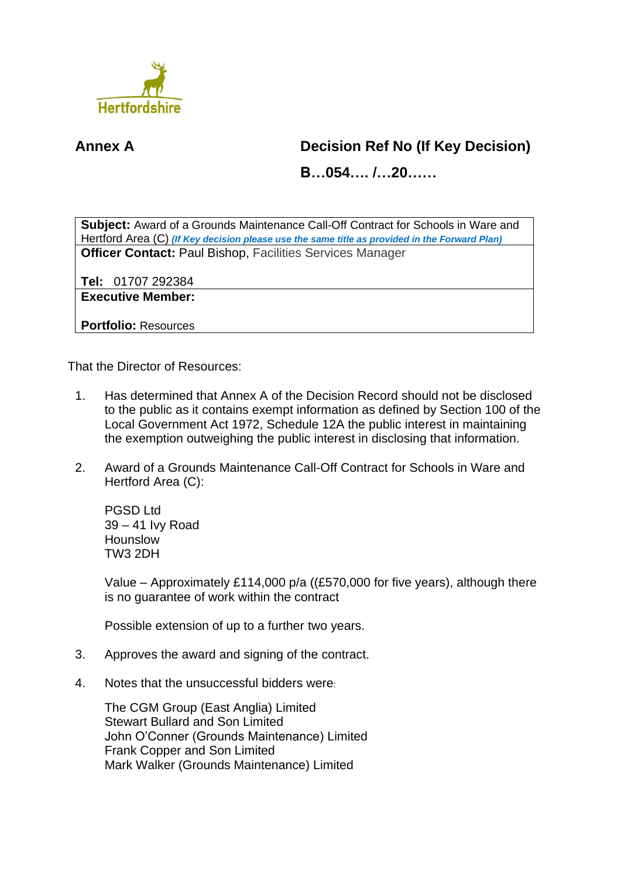

## **Annex A Decision Ref No (If Key Decision)**

**B…054…. /…20……**

**Subject:** Award of a Grounds Maintenance Call-Off Contract for Schools in Ware and Hertford Area (C) *(If Key decision please use the same title as provided in the Forward Plan)* **Officer Contact:** Paul Bishop, Facilities Services Manager

**Tel:** 01707 292384

**Executive Member:**

**Portfolio:** Resources

That the Director of Resources:

- 1. Has determined that Annex A of the Decision Record should not be disclosed to the public as it contains exempt information as defined by Section 100 of the Local Government Act 1972, Schedule 12A the public interest in maintaining the exemption outweighing the public interest in disclosing that information.
- 2. Award of a Grounds Maintenance Call-Off Contract for Schools in Ware and Hertford Area (C):

PGSD Ltd 39 – 41 Ivy Road Hounslow TW3 2DH

Value – Approximately £114,000 p/a ((£570,000 for five years), although there is no guarantee of work within the contract

Possible extension of up to a further two years.

- 3. Approves the award and signing of the contract.
- 4. Notes that the unsuccessful bidders were:

The CGM Group (East Anglia) Limited Stewart Bullard and Son Limited John O'Conner (Grounds Maintenance) Limited Frank Copper and Son Limited Mark Walker (Grounds Maintenance) Limited